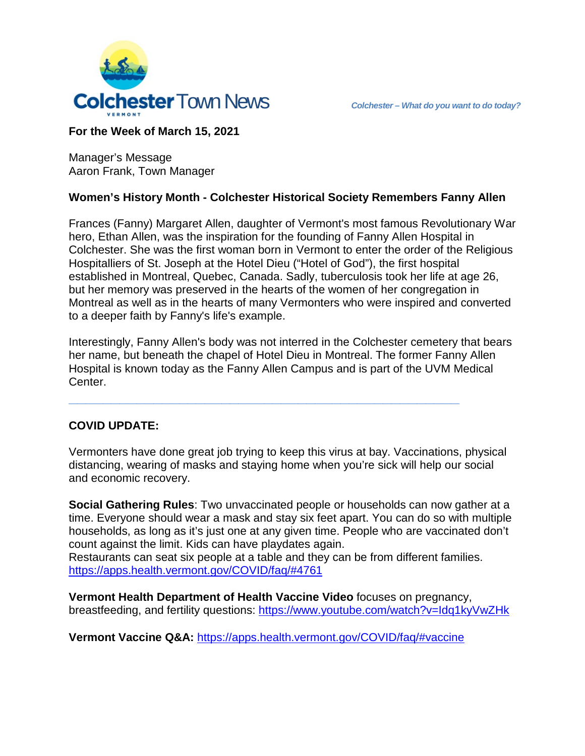

#### **For the Week of March 15, 2021**

Manager's Message Aaron Frank, Town Manager

## **Women's History Month - Colchester Historical Society Remembers Fanny Allen**

Frances (Fanny) Margaret Allen, daughter of Vermont's most famous Revolutionary War hero, Ethan Allen, was the inspiration for the founding of Fanny Allen Hospital in Colchester. She was the first woman born in Vermont to enter the order of the Religious Hospitalliers of St. Joseph at the Hotel Dieu ("Hotel of God"), the first hospital established in Montreal, Quebec, Canada. Sadly, tuberculosis took her life at age 26, but her memory was preserved in the hearts of the women of her congregation in Montreal as well as in the hearts of many Vermonters who were inspired and converted to a deeper faith by Fanny's life's example.

Interestingly, Fanny Allen's body was not interred in the Colchester cemetery that bears her name, but beneath the chapel of Hotel Dieu in Montreal. The former Fanny Allen Hospital is known today as the Fanny Allen Campus and is part of the UVM Medical Center.

**\_\_\_\_\_\_\_\_\_\_\_\_\_\_\_\_\_\_\_\_\_\_\_\_\_\_\_\_\_\_\_\_\_\_\_\_\_\_\_\_\_\_\_\_\_\_**

## **COVID UPDATE:**

Vermonters have done great job trying to keep this virus at bay. Vaccinations, physical distancing, wearing of masks and staying home when you're sick will help our social and economic recovery.

**Social Gathering Rules**: Two unvaccinated people or households can now gather at a time. Everyone should wear a mask and stay six feet apart. You can do so with multiple households, as long as it's just one at any given time. People who are vaccinated don't count against the limit. Kids can have playdates again.

Restaurants can seat six people at a table and they can be from different families. <https://apps.health.vermont.gov/COVID/faq/#4761>

**Vermont Health Department of Health Vaccine Video** focuses on pregnancy, breastfeeding, and fertility questions:<https://www.youtube.com/watch?v=Idq1kyVwZHk>

**Vermont Vaccine Q&A:** <https://apps.health.vermont.gov/COVID/faq/#vaccine>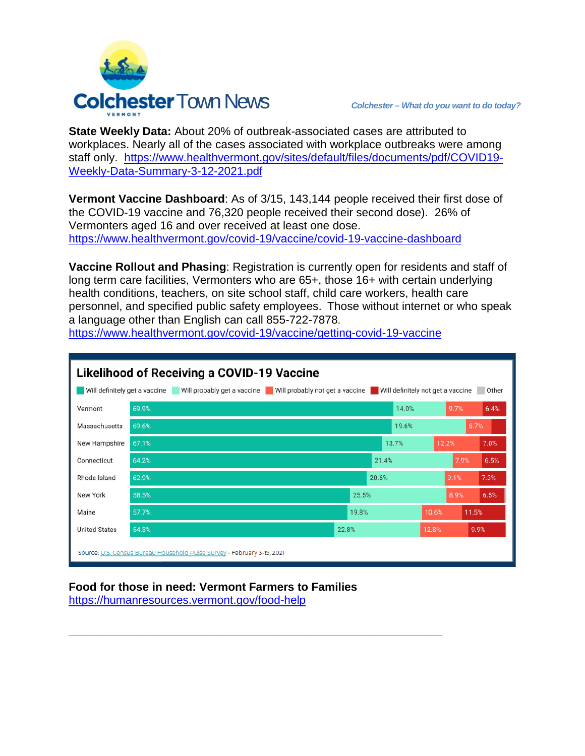

**State Weekly Data:** About 20% of outbreak-associated cases are attributed to workplaces. Nearly all of the cases associated with workplace outbreaks were among staff only. [https://www.healthvermont.gov/sites/default/files/documents/pdf/COVID19-](https://www.healthvermont.gov/sites/default/files/documents/pdf/COVID19-Weekly-Data-Summary-3-12-2021.pdf) [Weekly-Data-Summary-3-12-2021.pdf](https://www.healthvermont.gov/sites/default/files/documents/pdf/COVID19-Weekly-Data-Summary-3-12-2021.pdf)

**Vermont Vaccine Dashboard**: As of 3/15, 143,144 people received their first dose of the COVID-19 vaccine and 76,320 people received their second dose). 26% of Vermonters aged 16 and over received at least one dose. <https://www.healthvermont.gov/covid-19/vaccine/covid-19-vaccine-dashboard>

**Vaccine Rollout and Phasing**: Registration is currently open for residents and staff of long term care facilities, Vermonters who are 65+, those 16+ with certain underlying health conditions, teachers, on site school staff, child care workers, health care personnel, and specified public safety employees. Those without internet or who speak a language other than English can call 855-722-7878. <https://www.healthvermont.gov/covid-19/vaccine/getting-covid-19-vaccine>



# **Food for those in need: Vermont Farmers to Families**

**\_\_\_\_\_\_\_\_\_\_\_\_\_\_\_\_\_\_\_\_\_\_\_\_\_\_\_\_\_\_\_\_\_\_\_\_\_\_\_\_\_\_\_\_**

<https://humanresources.vermont.gov/food-help>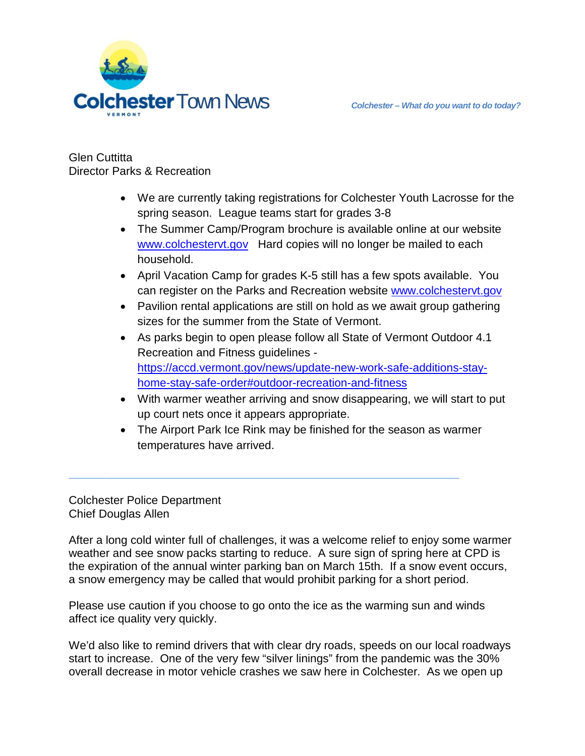



**Glen Cuttitta** Director Parks & Recreation

- We are currently taking registrations for Colchester Youth Lacrosse for the spring season. League teams start for grades 3-8
- The Summer Camp/Program brochure is available online at our website [www.colchestervt.gov](http://www.colchestervt.gov/) Hard copies will no longer be mailed to each household.
- April Vacation Camp for grades K-5 still has a few spots available. You can register on the Parks and Recreation website [www.colchestervt.gov](http://www.colchestervt.gov/)
- Pavilion rental applications are still on hold as we await group gathering sizes for the summer from the State of Vermont.
- As parks begin to open please follow all State of Vermont Outdoor 4.1 Recreation and Fitness guidelines [https://accd.vermont.gov/news/update-new-work-safe-additions-stay](https://accd.vermont.gov/news/update-new-work-safe-additions-stay-home-stay-safe-order#outdoor-recreation-and-fitness)[home-stay-safe-order#outdoor-recreation-and-fitness](https://accd.vermont.gov/news/update-new-work-safe-additions-stay-home-stay-safe-order#outdoor-recreation-and-fitness)
- With warmer weather arriving and snow disappearing, we will start to put up court nets once it appears appropriate.
- The Airport Park Ice Rink may be finished for the season as warmer temperatures have arrived.

Colchester Police Department Chief Douglas Allen

After a long cold winter full of challenges, it was a welcome relief to enjoy some warmer weather and see snow packs starting to reduce. A sure sign of spring here at CPD is the expiration of the annual winter parking ban on March 15th. If a snow event occurs, a snow emergency may be called that would prohibit parking for a short period.

Please use caution if you choose to go onto the ice as the warming sun and winds affect ice quality very quickly.

**\_\_\_\_\_\_\_\_\_\_\_\_\_\_\_\_\_\_\_\_\_\_\_\_\_\_\_\_\_\_\_\_\_\_\_\_\_\_\_\_\_\_\_\_\_\_**

We'd also like to remind drivers that with clear dry roads, speeds on our local roadways start to increase. One of the very few "silver linings" from the pandemic was the 30% overall decrease in motor vehicle crashes we saw here in Colchester. As we open up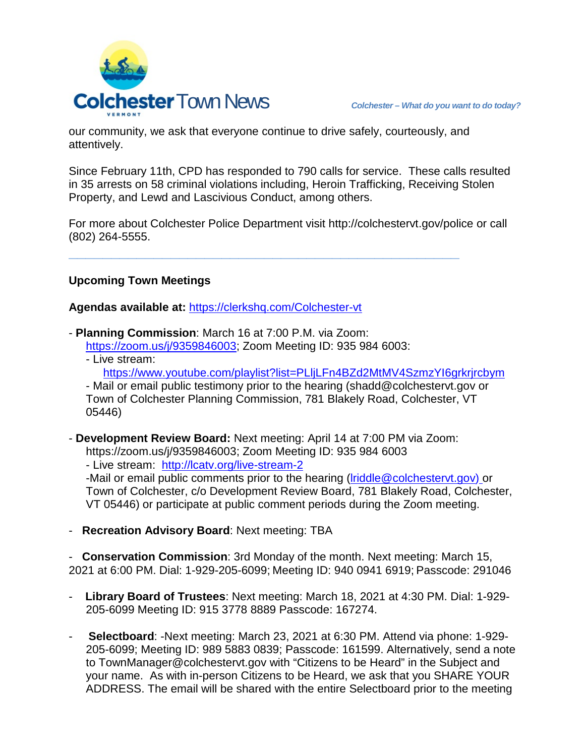

our community, we ask that everyone continue to drive safely, courteously, and attentively.

**\_\_\_\_\_\_\_\_\_\_\_\_\_\_\_\_\_\_\_\_\_\_\_\_\_\_\_\_\_\_\_\_\_\_\_\_\_\_\_\_\_\_\_\_\_\_**

Since February 11th, CPD has responded to 790 calls for service. These calls resulted in 35 arrests on 58 criminal violations including, Heroin Trafficking, Receiving Stolen Property, and Lewd and Lascivious Conduct, among others.

For more about Colchester Police Department visit http://colchestervt.gov/police or call (802) 264-5555.

#### **Upcoming Town Meetings**

**Agendas available at:** <https://clerkshq.com/Colchester-vt>

- **Planning Commission**: March 16 at 7:00 P.M. via Zoom:
	- [https://zoom.us/j/9359846003;](https://zoom.us/j/9359846003) Zoom Meeting ID: 935 984 6003:
	- Live stream: <https://www.youtube.com/playlist?list=PLljLFn4BZd2MtMV4SzmzYI6grkrjrcbym>

- Mail or email public testimony prior to the hearing [\(shadd@colchestervt.gov](mailto:shadd@colchestervt.gov) or Town of Colchester Planning Commission, 781 Blakely Road, Colchester, VT 05446)

- **Development Review Board:** Next meeting: April 14 at 7:00 PM via Zoom: https://zoom.us/j/9359846003; Zoom Meeting ID: 935 984 6003

- Live stream: <http://lcatv.org/live-stream-2>

-Mail or email public comments prior to the hearing (*lriddle@colchestervt.gov*) or Town of Colchester, c/o Development Review Board, 781 Blakely Road, Colchester, VT 05446) or participate at public comment periods during the Zoom meeting.

- **Recreation Advisory Board**: Next meeting: TBA

- **Conservation Commission**: 3rd Monday of the month. Next meeting: March 15, 2021 at 6:00 PM. Dial: 1-929-205-6099; Meeting ID: 940 0941 6919; Passcode: 291046

- **Library Board of Trustees**: Next meeting: March 18, 2021 at 4:30 PM. Dial: 1-929- 205-6099 Meeting ID: 915 3778 8889 Passcode: 167274.
- **Selectboard**: -Next meeting: March 23, 2021 at 6:30 PM. Attend via phone: 1-929- 205-6099; Meeting ID: 989 5883 0839; Passcode: 161599. Alternatively, send a note to TownManager@colchestervt.gov with "Citizens to be Heard" in the Subject and your name. As with in-person Citizens to be Heard, we ask that you SHARE YOUR ADDRESS. The email will be shared with the entire Selectboard prior to the meeting